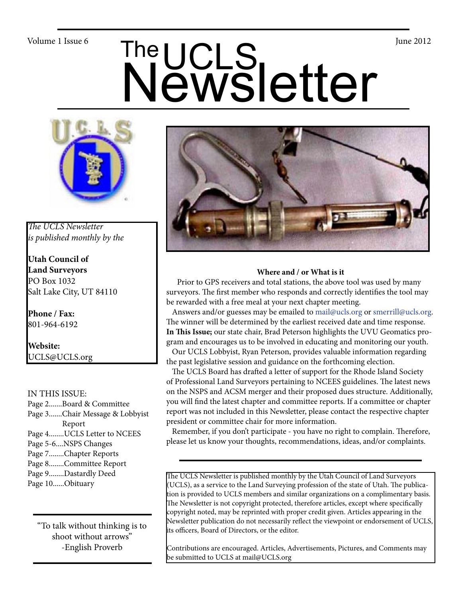# Volume 1 Issue 6<br>
Newsletter



*The UCLS Newsletter is published monthly by the*

**Utah Council of Land Surveyors** PO Box 1032 Salt Lake City, UT 84110

**Phone / Fax:**  801-964-6192

**Website:** UCLS@UCLS.org

### IN THIS ISSUE:

- Page 2.......Board & Committee Page 3.......Chair Message & Lobbyist Report Page 4........UCLS Letter to NCEES Page 5-6....NSPS Changes Page 7........Chapter Reports Page 8........Committee Report Page 9........Dastardly Deed
- Page 10......Obituary

"To talk without thinking is to shoot without arrows" -English Proverb



### **Where and / or What is it**

 Prior to GPS receivers and total stations, the above tool was used by many surveyors. The first member who responds and correctly identifies the tool may be rewarded with a free meal at your next chapter meeting.

Answers and/or guesses may be emailed to mail@ucls.org or smerrill@ucls.org. The winner will be determined by the earliest received date and time response. **In This Issue;** our state chair, Brad Peterson highlights the UVU Geomatics program and encourages us to be involved in educating and monitoring our youth.

 Our UCLS Lobbyist, Ryan Peterson, provides valuable information regarding the past legislative session and guidance on the forthcoming election.

 The UCLS Board has drafted a letter of support for the Rhode Island Society of Professional Land Surveyors pertaining to NCEES guidelines. The latest news on the NSPS and ACSM merger and their proposed dues structure. Additionally, you will find the latest chapter and committee reports. If a committee or chapter report was not included in this Newsletter, please contact the respective chapter president or committee chair for more information.

 Remember, if you don't participate - you have no right to complain. Therefore, please let us know your thoughts, recommendations, ideas, and/or complaints.

The UCLS Newsletter is published monthly by the Utah Council of Land Surveyors (UCLS), as a service to the Land Surveying profession of the state of Utah. The publication is provided to UCLS members and similar organizations on a complimentary basis. The Newsletter is not copyright protected, therefore articles, except where specifically copyright noted, may be reprinted with proper credit given. Articles appearing in the Newsletter publication do not necessarily reflect the viewpoint or endorsement of UCLS, its officers, Board of Directors, or the editor.

Contributions are encouraged. Articles, Advertisements, Pictures, and Comments may be submitted to UCLS at mail@UCLS.org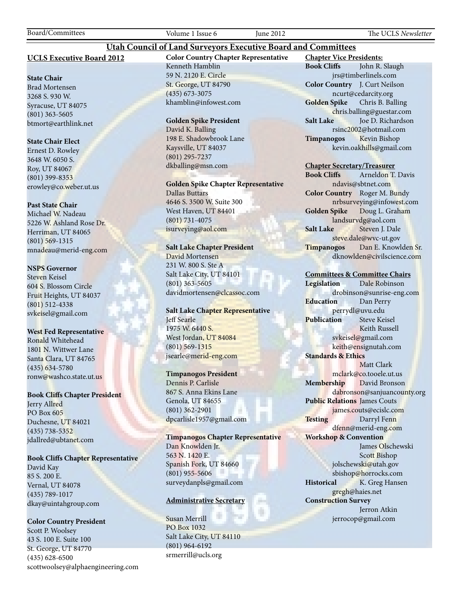Board/Committees Volume 1 Issue 6 June 2012 The UCLS *Newsletter*

### **UCLS Executive Board 2012**

### **State Chair**

Brad Mortensen 3268 S. 930 W. Syracuse, UT 84075 (801) 363-5605 btmort@earthlink.net

### **State Chair Elect**

Ernest D. Rowley 3648 W. 6050 S. Roy, UT 84067 (801) 399-8353 erowley@co.weber.ut.us

### **Past State Chair**

Michael W. Nadeau 5226 W. Ashland Rose Dr. Herriman, UT 84065 (801) 569-1315 mnadeau@merid-eng.com

### **NSPS Governor**

Steven Keisel 604 S. Blossom Circle Fruit Heights, UT 84037 (801) 512-4338 svkeisel@gmail.com

### **West Fed Representative**

Ronald Whitehead 1801 N. Wittwer Lane Santa Clara, UT 84765 (435) 634-5780 ronw@washco.state.ut.us

### **Book Cliffs Chapter President**

Jerry Allred PO Box 605 Duchesne, UT 84021 (435) 738-5352 jdallred@ubtanet.com

### **Book Cliffs Chapter Representative**

David Kay 85 S. 200 E. Vernal, UT 84078 (435) 789-1017 dkay@uintahgroup.com

### **Color Country President**

Scott P. Woolsey 43 S. 100 E. Suite 100 St. George, UT 84770 (435) 628-6500 scottwoolsey@alphaengineering.com **Color Country Chapter Representative** Kenneth Hamblin 59 N. 2120 E. Circle St. George, UT 84790 (435) 673-3075 khamblin@infowest.com

**Utah Council of Land Surveyors Executive Board and Committees**

### **Golden Spike President**

David K. Balling 198 E. Shadowbrook Lane Kaysville, UT 84037 (801) 295-7237 dkballing@msn.com

**Golden Spike Chapter Representative** Dallas Buttars 4646 S. 3500 W. Suite 300 West Haven, UT 84401

(801) 731-4075 isurveying@aol.com

### **Salt Lake Chapter President**

David Mortensen 231 W. 800 S. Ste A Salt Lake City, UT 84101 (801) 363-5605 davidmortensen@clcassoc.com

### **Salt Lake Chapter Representative** Jeff Searle 1975 W. 6440 S. West Jordan, UT 84084 (801) 569-1315 jsearle@merid-eng.com

### **Timpanogos President**

Dennis P. Carlisle 867 S. Anna Ekins Lane Genola, UT 84655 (801) 362-2901 dpcarlisle1957@gmail.com

**Timpanogos Chapter Representative** Dan Knowlden Jr. 563 N. 1420 E. Spanish Fork, UT 84660 (801) 955-5606 surveydanpls@gmail.com

### **Administrative Secretary**

Susan Merrill PO Box 1032 Salt Lake City, UT 84110 (801) 964-6192 srmerrill@ucls.org

**Chapter Vice Presidents: Book Cliffs** John R. Slaugh jrs@timberlinels.com **Color Country** J. Curt Neilson ncurt@cedarcity.org **Golden Spike** Chris B. Balling chris.balling@guestar.com **Salt Lake** Joe D. Richardson rsinc2002@hotmail.com **Timpanogos** Kevin Bishop kevin.oakhills@gmail.com

### **Chapter Secretary/Treasurer**

**Book Cliffs** Arneldon T. Davis ndavis@sbtnet.com **Color Country** Roger M. Bundy nrbsurveying@infowest.com **Golden Spike** Doug L. Graham landsurvdg@aol.com **Salt Lake** Steven J. Dale steve.dale@wvc-ut.gov **Timpanogos** Dan E. Knowlden Sr. dknowlden@civilscience.com

### **Committees & Committee Chairs**

**Legislation** Dale Robinson drobinson@sunrise-eng.com **Education** Dan Perry perrydl@uvu.edu **Publication** Steve Keisel Keith Russell svkeisel@gmail.com keith@ensignutah.com **Standards & Ethics** Matt Clark mclark@co.tooele.ut.us **Membership** David Bronson dabronson@sanjuancounty.org **Public Relations** James Couts james.couts@ecislc.com **Testing** Darryl Fenn dfenn@merid-eng.com **Workshop & Convention** James Olschewski Scott Bishop jolschewski@utah.gov sbishop@horrocks.com **Historical** K. Greg Hansen gregh@haies.net **Construction Survey** Jerron Atkin jerrocop@gmail.com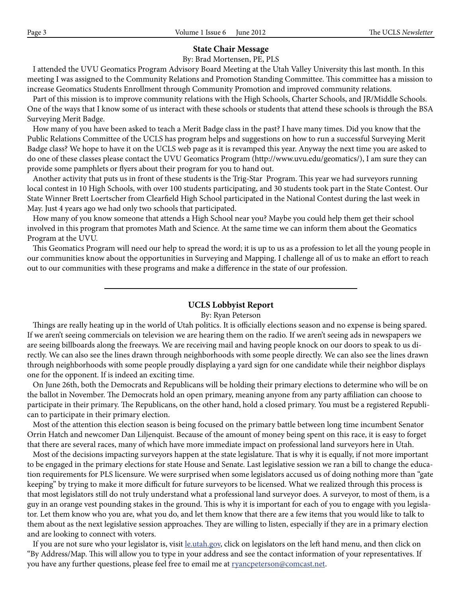### **State Chair Message**

By: Brad Mortensen, PE, PLS

 I attended the UVU Geomatics Program Advisory Board Meeting at the Utah Valley University this last month. In this meeting I was assigned to the Community Relations and Promotion Standing Committee. This committee has a mission to increase Geomatics Students Enrollment through Community Promotion and improved community relations.

 Part of this mission is to improve community relations with the High Schools, Charter Schools, and JR/Middle Schools. One of the ways that I know some of us interact with these schools or students that attend these schools is through the BSA Surveying Merit Badge.

 How many of you have been asked to teach a Merit Badge class in the past? I have many times. Did you know that the Public Relations Committee of the UCLS has program helps and suggestions on how to run a successful Surveying Merit Badge class? We hope to have it on the UCLS web page as it is revamped this year. Anyway the next time you are asked to do one of these classes please contact the UVU Geomatics Program (http://www.uvu.edu/geomatics/), I am sure they can provide some pamphlets or flyers about their program for you to hand out.

 Another activity that puts us in front of these students is the Trig-Star Program. This year we had surveyors running local contest in 10 High Schools, with over 100 students participating, and 30 students took part in the State Contest. Our State Winner Brett Loertscher from Clearfield High School participated in the National Contest during the last week in May. Just 4 years ago we had only two schools that participated.

 How many of you know someone that attends a High School near you? Maybe you could help them get their school involved in this program that promotes Math and Science. At the same time we can inform them about the Geomatics Program at the UVU.

 This Geomatics Program will need our help to spread the word; it is up to us as a profession to let all the young people in our communities know about the opportunities in Surveying and Mapping. I challenge all of us to make an effort to reach out to our communities with these programs and make a difference in the state of our profession.

### **UCLS Lobbyist Report**

### By: Ryan Peterson

 Things are really heating up in the world of Utah politics. It is officially elections season and no expense is being spared. If we aren't seeing commercials on television we are hearing them on the radio. If we aren't seeing ads in newspapers we are seeing billboards along the freeways. We are receiving mail and having people knock on our doors to speak to us directly. We can also see the lines drawn through neighborhoods with some people directly. We can also see the lines drawn through neighborhoods with some people proudly displaying a yard sign for one candidate while their neighbor displays one for the opponent. If is indeed an exciting time.

 On June 26th, both the Democrats and Republicans will be holding their primary elections to determine who will be on the ballot in November. The Democrats hold an open primary, meaning anyone from any party affiliation can choose to participate in their primary. The Republicans, on the other hand, hold a closed primary. You must be a registered Republican to participate in their primary election.

 Most of the attention this election season is being focused on the primary battle between long time incumbent Senator Orrin Hatch and newcomer Dan Liljenquist. Because of the amount of money being spent on this race, it is easy to forget that there are several races, many of which have more immediate impact on professional land surveyors here in Utah.

 Most of the decisions impacting surveyors happen at the state legislature. That is why it is equally, if not more important to be engaged in the primary elections for state House and Senate. Last legislative session we ran a bill to change the education requirements for PLS licensure. We were surprised when some legislators accused us of doing nothing more than "gate keeping" by trying to make it more difficult for future surveyors to be licensed. What we realized through this process is that most legislators still do not truly understand what a professional land surveyor does. A surveyor, to most of them, is a guy in an orange vest pounding stakes in the ground. This is why it is important for each of you to engage with you legislator. Let them know who you are, what you do, and let them know that there are a few items that you would like to talk to them about as the next legislative session approaches. They are willing to listen, especially if they are in a primary election and are looking to connect with voters.

If you are not sure who your legislator is, visit <u>le.utah.gov</u>, click on legislators on the left hand menu, and then click on "By Address/Map. This will allow you to type in your address and see the contact information of your representatives. If you have any further questions, please feel free to email me at **ryancpeterson@comcast.net**.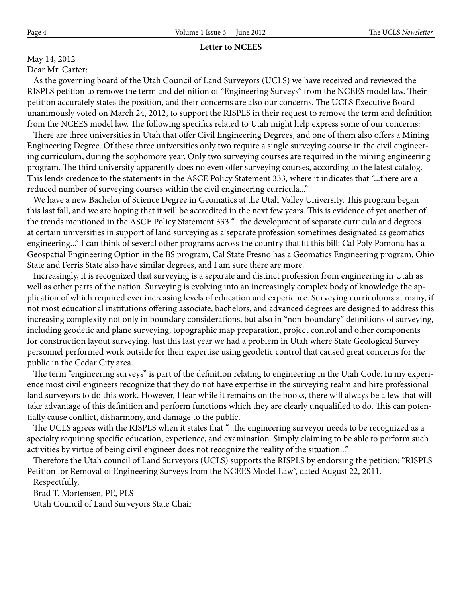### **Letter to NCEES**

### May 14, 2012

Dear Mr. Carter:

 As the governing board of the Utah Council of Land Surveyors (UCLS) we have received and reviewed the RISPLS petition to remove the term and definition of "Engineering Surveys" from the NCEES model law. Their petition accurately states the position, and their concerns are also our concerns. The UCLS Executive Board unanimously voted on March 24, 2012, to support the RISPLS in their request to remove the term and definition from the NCEES model law. The following specifics related to Utah might help express some of our concerns:

 There are three universities in Utah that offer Civil Engineering Degrees, and one of them also offers a Mining Engineering Degree. Of these three universities only two require a single surveying course in the civil engineering curriculum, during the sophomore year. Only two surveying courses are required in the mining engineering program. The third university apparently does no even offer surveying courses, according to the latest catalog. This lends credence to the statements in the ASCE Policy Statement 333, where it indicates that "...there are a reduced number of surveying courses within the civil engineering curricula..."

 We have a new Bachelor of Science Degree in Geomatics at the Utah Valley University. This program began this last fall, and we are hoping that it will be accredited in the next few years. This is evidence of yet another of the trends mentioned in the ASCE Policy Statement 333 "...the development of separate curricula and degrees at certain universities in support of land surveying as a separate profession sometimes designated as geomatics engineering..." I can think of several other programs across the country that fit this bill: Cal Poly Pomona has a Geospatial Engineering Option in the BS program, Cal State Fresno has a Geomatics Engineering program, Ohio State and Ferris State also have similar degrees, and I am sure there are more.

 Increasingly, it is recognized that surveying is a separate and distinct profession from engineering in Utah as well as other parts of the nation. Surveying is evolving into an increasingly complex body of knowledge the application of which required ever increasing levels of education and experience. Surveying curriculums at many, if not most educational institutions offering associate, bachelors, and advanced degrees are designed to address this increasing complexity not only in boundary considerations, but also in "non-boundary" definitions of surveying, including geodetic and plane surveying, topographic map preparation, project control and other components for construction layout surveying. Just this last year we had a problem in Utah where State Geological Survey personnel performed work outside for their expertise using geodetic control that caused great concerns for the public in the Cedar City area.

 The term "engineering surveys" is part of the definition relating to engineering in the Utah Code. In my experience most civil engineers recognize that they do not have expertise in the surveying realm and hire professional land surveyors to do this work. However, I fear while it remains on the books, there will always be a few that will take advantage of this definition and perform functions which they are clearly unqualified to do. This can potentially cause conflict, disharmony, and damage to the public.

 The UCLS agrees with the RISPLS when it states that "...the engineering surveyor needs to be recognized as a specialty requiring specific education, experience, and examination. Simply claiming to be able to perform such activities by virtue of being civil engineer does not recognize the reality of the situation..."

 Therefore the Utah council of Land Surveyors (UCLS) supports the RISPLS by endorsing the petition: "RISPLS Petition for Removal of Engineering Surveys from the NCEES Model Law", dated August 22, 2011.

Respectfully,

Brad T. Mortensen, PE, PLS

Utah Council of Land Surveyors State Chair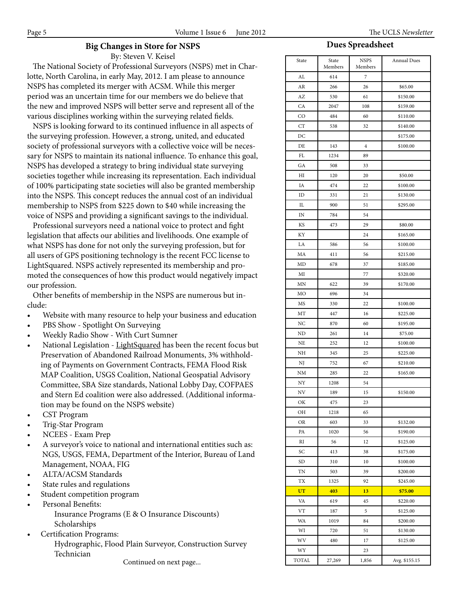### **Big Changes in Store for NSPS**

By: Steven V. Keisel

 The National Society of Professional Surveyors (NSPS) met in Charlotte, North Carolina, in early May, 2012. I am please to announce NSPS has completed its merger with ACSM. While this merger period was an uncertain time for our members we do believe that the new and improved NSPS will better serve and represent all of the various disciplines working within the surveying related fields.

 NSPS is looking forward to its continued influence in all aspects of the surveying profession. However, a strong, united, and educated society of professional surveyors with a collective voice will be necessary for NSPS to maintain its national influence. To enhance this goal, NSPS has developed a strategy to bring individual state surveying societies together while increasing its representation. Each individual of 100% participating state societies will also be granted membership into the NSPS. This concept reduces the annual cost of an individual membership to NSPS from \$225 down to \$40 while increasing the voice of NSPS and providing a significant savings to the individual.

 Professional surveyors need a national voice to protect and fight legislation that affects our abilities and livelihoods. One example of what NSPS has done for not only the surveying profession, but for all users of GPS positioning technology is the recent FCC license to LightSquared. NSPS actively represented its membership and promoted the consequences of how this product would negatively impact our profession.

 Other benefits of membership in the NSPS are numerous but include:

- Website with many resource to help your business and education
- PBS Show Spotlight On Surveying
- Weekly Radio Show With Curt Sumner
- National Legislation LightSquared has been the recent focus but Preservation of Abandoned Railroad Monuments, 3% withholding of Payments on Government Contracts, FEMA Flood Risk MAP Coalition, USGS Coalition, National Geospatial Advisory Committee, SBA Size standards, National Lobby Day, COFPAES and Stern Ed coalition were also addressed. (Additional information may be found on the NSPS website)
- CST Program
- Trig-Star Program
- NCEES Exam Prep
- A surveyor's voice to national and international entities such as: NGS, USGS, FEMA, Department of the Interior, Bureau of Land Management, NOAA, FIG
- ALTA/ACSM Standards
- State rules and regulations
- Student competition program
- Personal Benefits:
	- Insurance Programs (E & O Insurance Discounts) Scholarships
- Certification Programs:

Hydrographic, Flood Plain Surveyor, Construction Survey Technician

Continued on next page...

### **Dues Spreadsheet**

| State     | State<br>Members | <b>NSPS</b><br>Members | <b>Annual Dues</b>   |  |
|-----------|------------------|------------------------|----------------------|--|
| AL        | 614              | 7                      |                      |  |
| AR        | 266              | 26                     | \$65.00              |  |
| AZ        | 530              | 61                     | \$150.00             |  |
| CA        | 2047             | 108                    | \$159.00             |  |
| CO        | 484              | 60                     | \$110.00             |  |
| <b>CT</b> | 538              | 32                     | \$140.00             |  |
| DC        |                  |                        | \$175.00             |  |
| DE        | 143              | $\overline{4}$         | \$100.00             |  |
| FL        | 1234             | 89                     |                      |  |
| GA        | 508              | 33                     |                      |  |
| HI        | 120              | 20                     | \$50.00              |  |
| IA        | 474              | 22                     | \$100.00             |  |
| ID        | 331              | 21                     | \$130.00             |  |
| IL        | 900              | 51                     | \$295.00             |  |
| IN        | 784              | 54                     |                      |  |
| KS        | 473              | 29                     | \$80.00              |  |
| KY        |                  | 24                     | \$165.00             |  |
| LA        | 586              | 56                     | \$100.00             |  |
| MA        | 411              | 56                     | \$215.00             |  |
| MD        | 678              | 37                     | \$185.00             |  |
| MI        |                  | 77                     | \$320.00             |  |
| MΝ        | 622              | 39                     | \$170.00             |  |
| МO        | 696              | 34                     |                      |  |
| MS        | 330              | 22                     | \$100.00             |  |
| MT        | 447              | 16                     | \$225.00             |  |
| NC        | 870              | 60                     | \$195.00             |  |
| ND        | 261              | 14                     | \$75.00              |  |
| NE        | 252              | 12                     | \$100.00             |  |
| NΗ        | 345              | 25                     | \$225.00             |  |
| NJ        | 752              | 67                     | \$210.00             |  |
| NM        | 285              | 22                     | \$165.00             |  |
| NY        | 1208             | 54                     |                      |  |
| ΝV        | 189              | 15                     | \$150.00             |  |
| ОК        | 475              | 23                     |                      |  |
| OН        | 1218             | 65                     |                      |  |
| OR        | 603              | 33                     |                      |  |
| PA        | 1020             | 56                     | \$132.00             |  |
| RI        | 56               | 12                     | \$190.00             |  |
| SС        | 413              | 38                     | \$125.00             |  |
| SD        | 310              | 10                     | \$175.00<br>\$100.00 |  |
| TN        | 503              | 39                     | \$200.00             |  |
| TX        |                  | 92                     |                      |  |
| UT        | 1325             | 13                     | \$245.00             |  |
|           | 403              |                        | \$75.00              |  |
| VA        | 619              | 45                     | \$220.00             |  |
| VT        | 187              | 5                      | \$125.00             |  |
| WA        | 1019             | 84                     | \$200.00             |  |
| WI        | 720              | 51                     | \$130.00             |  |
| WV        | 480              | 17                     | \$125.00             |  |
| WY        |                  | 23                     |                      |  |
| TOTAL     | 27,269           | 1,856                  | Avg. \$155.15        |  |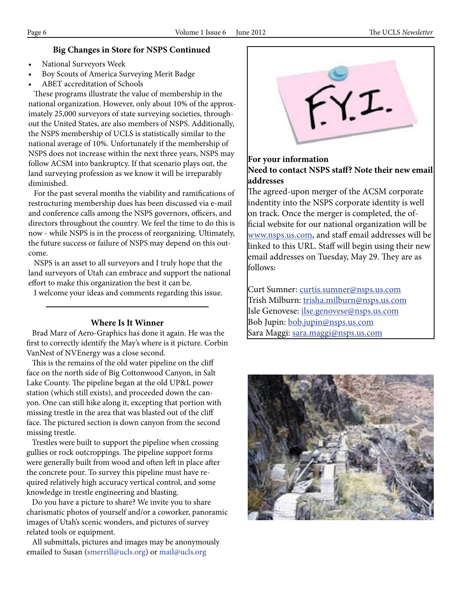## **Big Changes in Store for NSPS Continued**

- National Surveyors Week
- Boy Scouts of America Surveying Merit Badge
- ABET accreditation of Schools

 These programs illustrate the value of membership in the national organization. However, only about 10% of the approximately 25,000 surveyors of state surveying societies, throughout the United States, are also members of NSPS. Additionally, the NSPS membership of UCLS is statistically similar to the national average of 10%. Unfortunately if the membership of NSPS does not increase within the next three years, NSPS may follow ACSM into bankruptcy. If that scenario plays out, the land surveying profession as we know it will be irreparably diminished.

 For the past several months the viability and ramifications of restructuring membership dues has been discussed via e-mail and conference calls among the NSPS governors, officers, and directors throughout the country. We feel the time to do this is now - while NSPS is in the process of reorganizing. Ultimately, the future success or failure of NSPS may depend on this outcome.

 NSPS is an asset to all surveyors and I truly hope that the land surveyors of Utah can embrace and support the national effort to make this organization the best it can be.

I welcome your ideas and comments regarding this issue.

## **Where Is It Winner**

 Brad Marz of Aero-Graphics has done it again. He was the first to correctly identify the May's where is it picture. Corbin VanNest of NVEnergy was a close second.

 This is the remains of the old water pipeline on the cliff face on the north side of Big Cottonwood Canyon, in Salt Lake County. The pipeline began at the old UP&L power station (which still exists), and proceeded down the canyon. One can still hike along it, excepting that portion with missing trestle in the area that was blasted out of the cliff face. The pictured section is down canyon from the second missing trestle.

 Trestles were built to support the pipeline when crossing gullies or rock outcroppings. The pipeline support forms were generally built from wood and often left in place after the concrete pour. To survey this pipeline must have required relatively high accuracy vertical control, and some knowledge in trestle engineering and blasting.

 Do you have a picture to share? We invite you to share charismatic photos of yourself and/or a coworker, panoramic images of Utah's scenic wonders, and pictures of survey related tools or equipment.

 All submittals, pictures and images may be anonymously emailed to Susan (smerrill@ucls.org) or mail@ucls.org



## **For your information Need to contact NSPS staff? Note their new email addresses**

The agreed-upon merger of the ACSM corporate indentity into the NSPS corporate identity is well on track. Once the merger is completed, the official website for our national organization will be www.nsps.us.com, and staff email addresses will be linked to this URL. Staff will begin using their new email addresses on Tuesday, May 29. They are as follows:

Curt Sumner: curtis.sumner@nsps.us.com Trish Milburn: trisha.milburn@nsps.us.com Isle Genovese: ilse.genovese@nsps.us.com Bob Jupin: bob.jupin@nsps.us.com Sara Maggi: sara.maggi@nsps.us.com

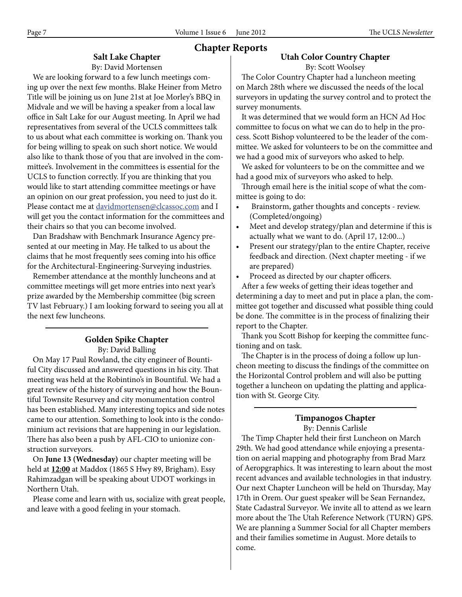**Chapter Reports**

# **Salt Lake Chapter**

By: David Mortensen

 We are looking forward to a few lunch meetings coming up over the next few months. Blake Heiner from Metro Title will be joining us on June 21st at Joe Morley's BBQ in Midvale and we will be having a speaker from a local law office in Salt Lake for our August meeting. In April we had representatives from several of the UCLS committees talk to us about what each committee is working on. Thank you for being willing to speak on such short notice. We would also like to thank those of you that are involved in the committee's. Involvement in the committees is essential for the UCLS to function correctly. If you are thinking that you would like to start attending committee meetings or have an opinion on our great profession, you need to just do it. Please contact me at davidmortensen@clcassoc.com and I will get you the contact information for the committees and their chairs so that you can become involved.

 Dan Bradshaw with Benchmark Insurance Agency presented at our meeting in May. He talked to us about the claims that he most frequently sees coming into his office for the Architectural-Engineering-Surveying industries.

 Remember attendance at the monthly luncheons and at committee meetings will get more entries into next year's prize awarded by the Membership committee (big screen TV last February.) I am looking forward to seeing you all at the next few luncheons.

## **Golden Spike Chapter** By: David Balling

 On May 17 Paul Rowland, the city engineer of Bountiful City discussed and answered questions in his city. That meeting was held at the Robintino's in Bountiful. We had a great review of the history of surveying and how the Bountiful Townsite Resurvey and city monumentation control has been established. Many interesting topics and side notes came to our attention. Something to look into is the condominium act revisions that are happening in our legislation. There has also been a push by AFL-CIO to unionize construction surveyors.

 On **June 13 (Wednesday)** our chapter meeting will be held at **12:00** at Maddox (1865 S Hwy 89, Brigham). Essy Rahimzadgan will be speaking about UDOT workings in Northern Utah.

 Please come and learn with us, socialize with great people, and leave with a good feeling in your stomach.

# **Utah Color Country Chapter**

By: Scott Woolsey

 The Color Country Chapter had a luncheon meeting on March 28th where we discussed the needs of the local surveyors in updating the survey control and to protect the survey monuments.

 It was determined that we would form an HCN Ad Hoc committee to focus on what we can do to help in the process. Scott Bishop volunteered to be the leader of the committee. We asked for volunteers to be on the committee and we had a good mix of surveyors who asked to help.

 We asked for volunteers to be on the committee and we had a good mix of surveyors who asked to help.

 Through email here is the initial scope of what the committee is going to do:

- Brainstorm, gather thoughts and concepts review. (Completed/ongoing)
- Meet and develop strategy/plan and determine if this is actually what we want to do. (April 17, 12:00...)
- Present our strategy/plan to the entire Chapter, receive feedback and direction. (Next chapter meeting - if we are prepared)
- Proceed as directed by our chapter officers.

 After a few weeks of getting their ideas together and determining a day to meet and put in place a plan, the committee got together and discussed what possible thing could be done. The committee is in the process of finalizing their report to the Chapter.

 Thank you Scott Bishop for keeping the committee functioning and on task.

 The Chapter is in the process of doing a follow up luncheon meeting to discuss the findings of the committee on the Horizontal Control problem and will also be putting together a luncheon on updating the platting and application with St. George City.

### **Timpanogos Chapter** By: Dennis Carlisle

 The Timp Chapter held their first Luncheon on March 29th. We had good attendance while enjoying a presentation on aerial mapping and photography from Brad Marz of Aeropgraphics. It was interesting to learn about the most recent advances and available technologies in that industry. Our next Chapter Luncheon will be held on Thursday, May 17th in Orem. Our guest speaker will be Sean Fernandez, State Cadastral Surveyor. We invite all to attend as we learn more about the The Utah Reference Network (TURN) GPS. We are planning a Summer Social for all Chapter members and their families sometime in August. More details to come.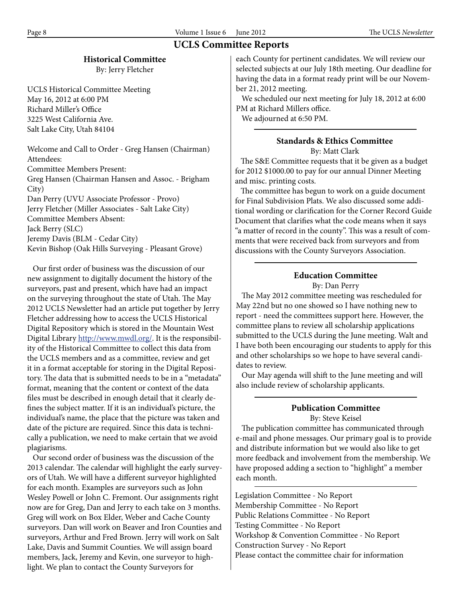# **UCLS Committee Reports**

# **Historical Committee**

By: Jerry Fletcher

UCLS Historical Committee Meeting May 16, 2012 at 6:00 PM Richard Miller's Office 3225 West California Ave. Salt Lake City, Utah 84104

Welcome and Call to Order - Greg Hansen (Chairman) Attendees: Committee Members Present: Greg Hansen (Chairman Hansen and Assoc. - Brigham City) Dan Perry (UVU Associate Professor - Provo) Jerry Fletcher (Miller Associates - Salt Lake City) Committee Members Absent: Jack Berry (SLC) Jeremy Davis (BLM - Cedar City) Kevin Bishop (Oak Hills Surveying - Pleasant Grove)

 Our first order of business was the discussion of our new assignment to digitally document the history of the surveyors, past and present, which have had an impact on the surveying throughout the state of Utah. The May 2012 UCLS Newsletter had an article put together by Jerry Fletcher addressing how to access the UCLS Historical Digital Repository which is stored in the Mountain West Digital Library http://www.mwdl.org/. It is the responsibility of the Historical Committee to collect this data from the UCLS members and as a committee, review and get it in a format acceptable for storing in the Digital Repository. The data that is submitted needs to be in a "metadata" format, meaning that the content or context of the data files must be described in enough detail that it clearly defines the subject matter. If it is an individual's picture, the individual's name, the place that the picture was taken and date of the picture are required. Since this data is technically a publication, we need to make certain that we avoid plagiarisms.

 Our second order of business was the discussion of the 2013 calendar. The calendar will highlight the early surveyors of Utah. We will have a different surveyor highlighted for each month. Examples are surveyors such as John Wesley Powell or John C. Fremont. Our assignments right now are for Greg, Dan and Jerry to each take on 3 months. Greg will work on Box Elder, Weber and Cache County surveyors. Dan will work on Beaver and Iron Counties and surveyors, Arthur and Fred Brown. Jerry will work on Salt Lake, Davis and Summit Counties. We will assign board members, Jack, Jeremy and Kevin, one surveyor to highlight. We plan to contact the County Surveyors for

each County for pertinent candidates. We will review our selected subjects at our July 18th meeting. Our deadline for having the data in a format ready print will be our November 21, 2012 meeting.

 We scheduled our next meeting for July 18, 2012 at 6:00 PM at Richard Millers office.

We adjourned at 6:50 PM.

### **Standards & Ethics Committee** By: Matt Clark

 The S&E Committee requests that it be given as a budget for 2012 \$1000.00 to pay for our annual Dinner Meeting and misc. printing costs.

 The committee has begun to work on a guide document for Final Subdivision Plats. We also discussed some additional wording or clarification for the Corner Record Guide Document that clarifies what the code means when it says "a matter of record in the county". This was a result of comments that were received back from surveyors and from discussions with the County Surveyors Association.

# **Education Committee**

By: Dan Perry

 The May 2012 committee meeting was rescheduled for May 22nd but no one showed so I have nothing new to report - need the committees support here. However, the committee plans to review all scholarship applications submitted to the UCLS during the June meeting. Walt and I have both been encouraging our students to apply for this and other scholarships so we hope to have several candidates to review.

 Our May agenda will shift to the June meeting and will also include review of scholarship applicants.

### **Publication Committee** By: Steve Keisel

 The publication committee has communicated through e-mail and phone messages. Our primary goal is to provide and distribute information but we would also like to get more feedback and involvement from the membership. We have proposed adding a section to "highlight" a member each month.

Legislation Committee - No Report Membership Committee - No Report Public Relations Committee - No Report Testing Committee - No Report Workshop & Convention Committee - No Report Construction Survey - No Report Please contact the committee chair for information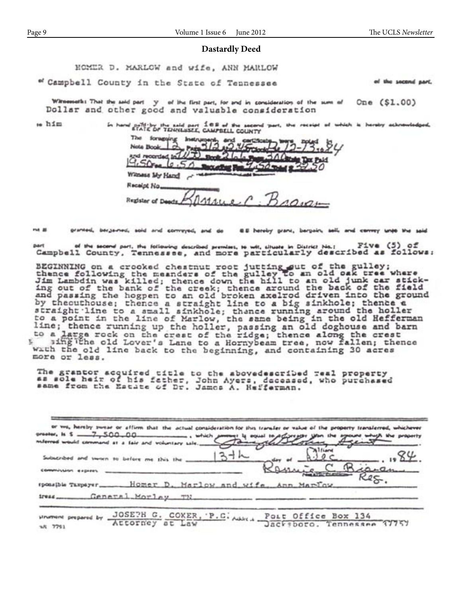### **Dastardly Deed**

HOMER D. MARLOW and wife, ANN MARLOW

" Campbell County in the State of Tennessee

of the second part.

Wiresseth: That the said part y of the first part, for and in consideration of the sum of One (\$1.00) Dollar and other good and valuable consideration

 $m \hbox{h/m}$ 

| In hand state of TENNISSEE, CAMPBELL COUNTY |                                    |        |             |  |  |
|---------------------------------------------|------------------------------------|--------|-------------|--|--|
| The foregoing lest                          |                                    |        |             |  |  |
| Note Book                                   | and recorded $ln(L/T)$ save $2lnh$ | $-300$ | $2 - 73.24$ |  |  |
| 9.50                                        |                                    |        |             |  |  |
| Witness My Hand                             |                                    |        |             |  |  |
| Receipt No.                                 |                                    |        |             |  |  |
| Register                                    |                                    |        | $11010 +$   |  |  |

 $ma \equiv$ pranted, bergamed, sold and conveyed, and do EE hereby grane, bergain, sell, and cenvey unto the said

part of the second part, the following described premise, to wit, chuste in District No.: Five (5) of Campbell County, Tennessee, and more particularly described as follows:  $Flve (5) of$ 

BEGINNING on a crooked chestnut root jutting out of the gulley;<br>thence following the meanders of the gulley to an old oak tree where<br>Jim Lambdin was killed; thence down the hill to an old junk car stick-<br>ing out of the ban by theouthouse; thence a straight line to a big sinkhole; thence a straight line to a small sinkhole; thence running around the holler to a point in the line of Marlow, the same being in the old Hefferman line; thence running up the holler, passing an old doghouse and barn<br>to a large rock on the creat of the ridge; thence along the creat<br>sing the old Lover's Lane to a Hornybeam tree, now fallen; thence wath the old line back to the beginning, and containing 30 acres more or less.

The grantor acquired title to the abovedescribed real property<br>as sole heir of his father, John Ayers, deceased, who purchased<br>same from the Estate of Dr. James A. Hefferman.

|                         | or we, hereby swear or affirm that the actual consideration for this transfer or value of the property transferred, whichever<br><b>POLICE TO A CLOSE</b> | you the spound which the property |
|-------------------------|-----------------------------------------------------------------------------------------------------------------------------------------------------------|-----------------------------------|
|                         | milerred would command at a fair and voluntary sale.                                                                                                      |                                   |
|                         | Subscribed and sworn to before me this the                                                                                                                |                                   |
| commission expires      |                                                                                                                                                           | Bigaran                           |
|                         |                                                                                                                                                           |                                   |
|                         | General Morley TN                                                                                                                                         |                                   |
|                         |                                                                                                                                                           |                                   |
| prepared by<br>s/i 7791 | JOSEPH G. COKER, 'P.C. Ask . Port Office Box 134                                                                                                          |                                   |